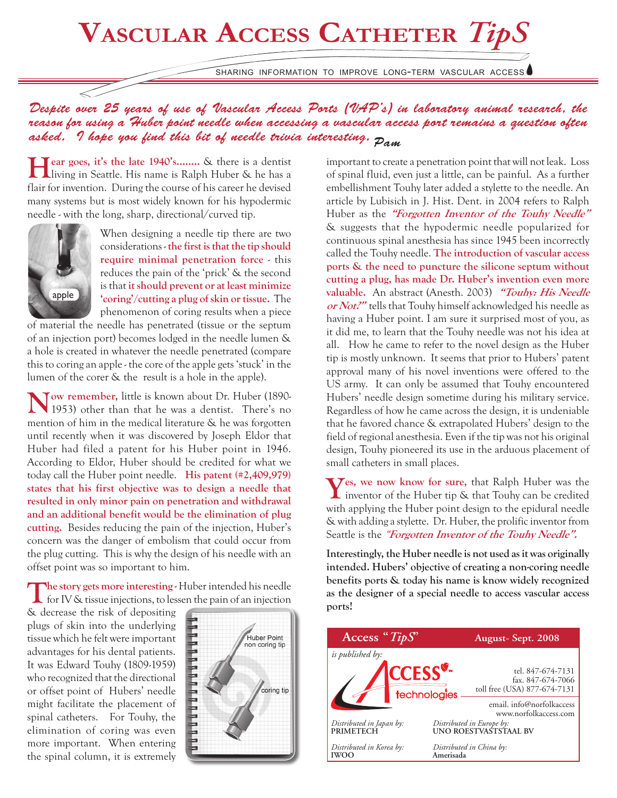## **Vascular Access Catheter** *TipS*

sharing information to improve long-term vascular access

*Despite over 25 years of use of Vascular Access Ports (VAP's) in laboratory animal research, the reason for using a Huber point needle when accessing a vascular access port remains a question often asked. I hope you find this bit of needle trivia interesting. Pam*

**Hear goes, it's the late 1940's........** & there is a dentist living in Seattle. His name is Ralph Huber & he has a flair for invention. During the course of his career he devised many systems but is most widely known for his hypodermic needle - with the long, sharp, directional/curved tip.



When designing a needle tip there are two considerations - **the first is that the tip should require minimal penetration force** - this reduces the pain of the 'prick' & the second is that **it should prevent or at least minimize 'coring'/cutting a plug of skin or tissue.** The phenomenon of coring results when a piece

of material the needle has penetrated (tissue or the septum of an injection port) becomes lodged in the needle lumen & a hole is created in whatever the needle penetrated (compare this to coring an apple - the core of the apple gets 'stuck' in the lumen of the corer & the result is a hole in the apple).

**Now remember,** little is known about Dr. Huber (1890- 1953) other than that he was a dentist. There's no mention of him in the medical literature & he was forgotten until recently when it was discovered by Joseph Eldor that Huber had filed a patent for his Huber point in 1946. According to Eldor, Huber should be credited for what we today call the Huber point needle. **His patent (#2,409,979) states that his first objective was to design a needle that resulted in only minor pain on penetration and withdrawal and an additional benefit would be the elimination of plug cutting.** Besides reducing the pain of the injection, Huber's concern was the danger of embolism that could occur from the plug cutting. This is why the design of his needle with an offset point was so important to him.

The story gets more interesting - Huber intended his needle for IV & tissue injections, to lessen the pain of an injection

& decrease the risk of depositing plugs of skin into the underlying tissue which he felt were important advantages for his dental patients. It was Edward Touhy (1809-1959) who recognized that the directional or offset point of Hubers' needle might facilitate the placement of spinal catheters. For Touhy, the elimination of coring was even more important. When entering the spinal column, it is extremely



important to create a penetration point that will not leak. Loss of spinal fluid, even just a little, can be painful. As a further embellishment Touhy later added a stylette to the needle. An article by Lubisich in J. Hist. Dent. in 2004 refers to Ralph Huber as the **"Forgotten Inventor of the Touhy Needle"** & suggests that the hypodermic needle popularized for continuous spinal anesthesia has since 1945 been incorrectly called the Touhy needle. **The introduction of vascular access ports & the need to puncture the silicone septum without cutting a plug, has made Dr. Huber's invention even more valuable.** An abstract (Anesth. 2003) **"Touhy: His Needle or Not?"** tells that Touhy himself acknowledged his needle as having a Huber point. I am sure it surprised most of you, as it did me, to learn that the Touhy needle was not his idea at all. How he came to refer to the novel design as the Huber tip is mostly unknown. It seems that prior to Hubers' patent approval many of his novel inventions were offered to the US army. It can only be assumed that Touhy encountered Hubers' needle design sometime during his military service. Regardless of how he came across the design, it is undeniable that he favored chance & extrapolated Hubers' design to the field of regional anesthesia. Even if the tip was not his original design, Touhy pioneered its use in the arduous placement of small catheters in small places.

**Yes, we now know for sure,** that Ralph Huber was the inventor of the Huber tip & that Touhy can be credited with applying the Huber point design to the epidural needle & with adding a stylette. Dr. Huber, the prolific inventor from Seattle is the "**Forgotten Inventor of the Touhy Needle".**

**Interestingly, the Huber needle is not used as it was originally intended. Hubers' objective of creating a non-coring needle benefits ports & today his name is know widely recognized as the designer of a special needle to access vascular access ports!**